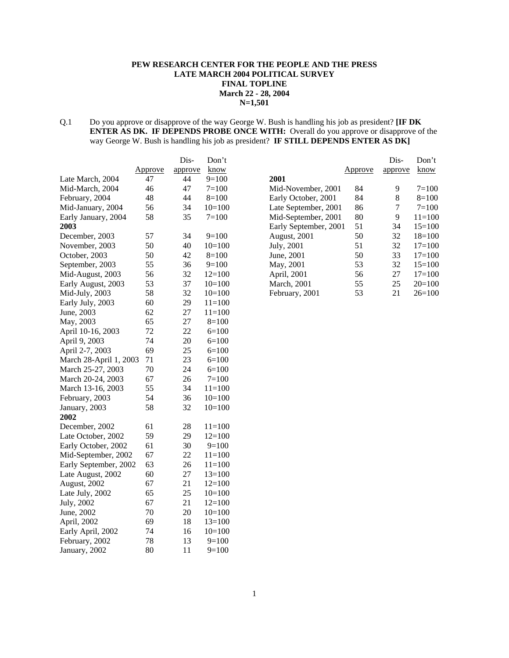# **PEW RESEARCH CENTER FOR THE PEOPLE AND THE PRESS LATE MARCH 2004 POLITICAL SURVEY FINAL TOPLINE March 22 - 28, 2004 N=1,501**

Q.1 Do you approve or disapprove of the way George W. Bush is handling his job as president? **[IF DK ENTER AS DK. IF DEPENDS PROBE ONCE WITH:** Overall do you approve or disapprove of the way George W. Bush is handling his job as president? **IF STILL DEPENDS ENTER AS DK]**

|                        |         | Dis-    | Don't      |
|------------------------|---------|---------|------------|
|                        | Approve | approve | know       |
| Late March, 2004       | 47      | 44      | $9=100$    |
| Mid-March, 2004        | 46      | 47      | $7 = 100$  |
| February, 2004         | 48      | 44      | $8=100$    |
| Mid-January, 2004      | 56      | 34      | $10=100$   |
| Early January, 2004    | 58      | 35      | $7=100$    |
| 2003                   |         |         |            |
| December, 2003         | 57      | 34      | $9=100$    |
| November, 2003         | 50      | 40      | $10=100$   |
| October, 2003          | 50      | 42      | $8=100$    |
| September, 2003        | 55      | 36      | $9=100$    |
| Mid-August, 2003       | 56      | 32      | $12=100$   |
| Early August, 2003     | 53      | 37      | $10=100$   |
| Mid-July, 2003         | 58      | 32      | $10=100$   |
| Early July, 2003       | 60      | 29      | $11 = 100$ |
| June, 2003             | 62      | 27      | $11 = 100$ |
| May, 2003              | 65      | 27      | $8=100$    |
| April 10-16, 2003      | 72      | 22      | $6=100$    |
| April 9, 2003          | 74      | 20      | $6=100$    |
| April 2-7, 2003        | 69      | 25      | $6=100$    |
| March 28-April 1, 2003 | 71      | 23      | $6=100$    |
| March 25-27, 2003      | 70      | 24      | $6=100$    |
| March 20-24, 2003      | 67      | 26      | $7=100$    |
| March 13-16, 2003      | 55      | 34      | $11 = 100$ |
| February, 2003         | 54      | 36      | $10=100$   |
| January, 2003          | 58      | 32      | $10=100$   |
| 2002                   |         |         |            |
| December, 2002         | 61      | 28      | $11=100$   |
| Late October, 2002     | 59      | 29      | $12=100$   |
| Early October, 2002    | 61      | 30      | $9=100$    |
| Mid-September, 2002    | 67      | 22      | $11 = 100$ |
| Early September, 2002  | 63      | 26      | $11 = 100$ |
| Late August, 2002      | 60      | 27      | $13=100$   |
| August, 2002           | 67      | 21      | $12=100$   |
| Late July, 2002        | 65      | 25      | $10=100$   |
| July, 2002             | 67      | 21      | $12=100$   |
| June, 2002             | 70      | 20      | $10=100$   |
| April, 2002            | 69      | 18      | $13=100$   |
| Early April, 2002      | 74      | 16      | $10=100$   |
| February, 2002         | 78      | 13      | $9=100$    |
| January, 2002          | 80      | 11      | $9=100$    |

|                       |         | Dis-    | Don't      |
|-----------------------|---------|---------|------------|
|                       | Approve | approve | know       |
| 2001                  |         |         |            |
| Mid-November, 2001    | 84      | 9       | $7 = 100$  |
| Early October, 2001   | 84      | 8       | $8=100$    |
| Late September, 2001  | 86      | 7       | $7 = 100$  |
| Mid-September, 2001   | 80      | 9       | $11 = 100$ |
| Early September, 2001 | 51      | 34      | $15=100$   |
| <b>August, 2001</b>   | 50      | 32      | $18=100$   |
| July, 2001            | 51      | 32      | $17=100$   |
| June, 2001            | 50      | 33      | $17=100$   |
| May, 2001             | 53      | 32      | $15=100$   |
| April, 2001           | 56      | 27      | $17 = 100$ |
| <b>March</b> , 2001   | 55      | 25      | $20=100$   |
| February, 2001        | 53      | 21      | $26=100$   |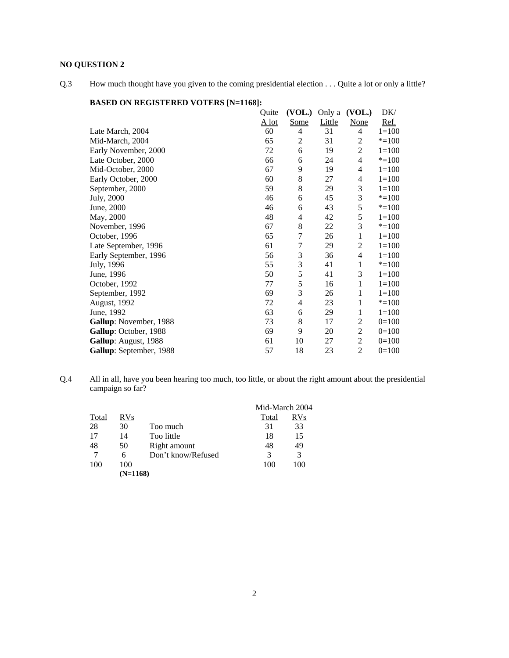# **NO QUESTION 2**

Q.3 How much thought have you given to the coming presidential election . . . Quite a lot or only a little?

|                         | Quite   | (VOL.) | Only a | (VOL.)         | DK/       |
|-------------------------|---------|--------|--------|----------------|-----------|
|                         | $A$ lot | Some   | Little | <b>None</b>    | Ref.      |
| Late March, 2004        | 60      | 4      | 31     | 4              | $1 = 100$ |
| Mid-March, 2004         | 65      | 2      | 31     | 2              | $* = 100$ |
| Early November, 2000    | 72      | 6      | 19     | 2              | $1 = 100$ |
| Late October, 2000      | 66      | 6      | 24     | 4              | $* = 100$ |
| Mid-October, 2000       | 67      | 9      | 19     | 4              | $1 = 100$ |
| Early October, 2000     | 60      | 8      | 27     | 4              | $1=100$   |
| September, 2000         | 59      | 8      | 29     | 3              | $1 = 100$ |
| July, 2000              | 46      | 6      | 45     | 3              | $* = 100$ |
| June, 2000              | 46      | 6      | 43     | 5              | $* = 100$ |
| May, 2000               | 48      | 4      | 42     | 5              | $1 = 100$ |
| November, 1996          | 67      | 8      | 22     | 3              | $* = 100$ |
| October, 1996           | 65      | 7      | 26     | $\mathbf{1}$   | $1 = 100$ |
| Late September, 1996    | 61      | 7      | 29     | $\overline{c}$ | $1 = 100$ |
| Early September, 1996   | 56      | 3      | 36     | 4              | $1 = 100$ |
| July, 1996              | 55      | 3      | 41     | 1              | $* = 100$ |
| June, 1996              | 50      | 5      | 41     | 3              | $1 = 100$ |
| October, 1992           | 77      | 5      | 16     | 1              | $1 = 100$ |
| September, 1992         | 69      | 3      | 26     | 1              | $1 = 100$ |
| August, 1992            | 72      | 4      | 23     | 1              | $* = 100$ |
| June, 1992              | 63      | 6      | 29     | 1              | $1 = 100$ |
| Gallup: November, 1988  | 73      | 8      | 17     | 2              | $0=100$   |
| Gallup: October, 1988   | 69      | 9      | 20     | 2              | $0=100$   |
| Gallup: August, 1988    | 61      | 10     | 27     | $\overline{2}$ | $0=100$   |
| Gallup: September, 1988 | 57      | 18     | 23     | $\overline{c}$ | $0=100$   |

# **BASED ON REGISTERED VOTERS [N=1168]:**

Q.4 All in all, have you been hearing too much, too little, or about the right amount about the presidential campaign so far?

|              |            |                    | Mid-March 2004 |            |
|--------------|------------|--------------------|----------------|------------|
| <b>Total</b> | <b>RVs</b> |                    | Total          | <b>RVs</b> |
| 28           | 30         | Too much           | 31             | 33         |
| 17           | 14         | Too little         | 18             | 15         |
| 48           | 50         | Right amount       | 48             | 49         |
|              | -6         | Don't know/Refused | 3              | <u>3</u>   |
| 100          | 100        |                    | 100            | 100        |
|              | $(N=1168)$ |                    |                |            |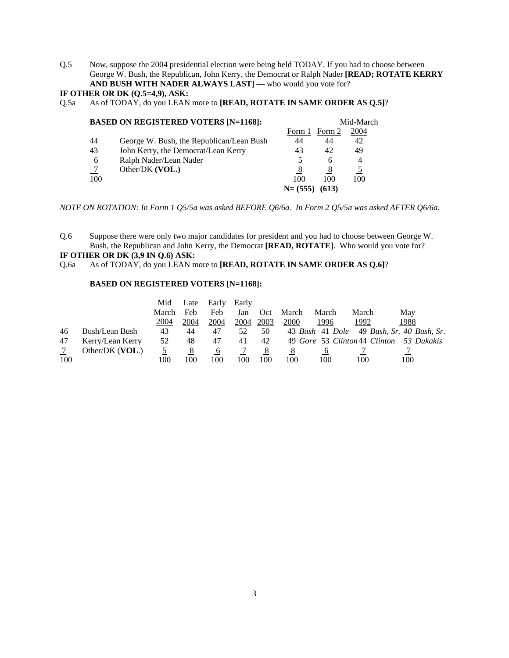Q.5 Now, suppose the 2004 presidential election were being held TODAY. If you had to choose between George W. Bush, the Republican, John Kerry, the Democrat or Ralph Nader **[READ; ROTATE KERRY AND BUSH WITH NADER ALWAYS LAST]** — who would you vote for?

# **IF OTHER OR DK (Q.5=4,9), ASK:**

Q.5a As of TODAY, do you LEAN more to **[READ, ROTATE IN SAME ORDER AS Q.5]**?

|     | <b>BASED ON REGISTERED VOTERS [N=1168]:</b> |            |        | Mid-March      |
|-----|---------------------------------------------|------------|--------|----------------|
|     |                                             | Form 1     | Form 2 | 2004           |
| 44  | George W. Bush, the Republican/Lean Bush    | 44         | 44     | 42             |
| 43  | John Kerry, the Democrat/Lean Kerry         | 43         | 42     | 49             |
| 6   | Ralph Nader/Lean Nader                      | 5          | 6      | $\overline{4}$ |
|     | Other/DK (VOL.)                             | 8          | 8      | 5              |
| 100 |                                             | 100        | 100    | 100            |
|     |                                             | $N=$ (555) | (613)  |                |

*NOTE ON ROTATION: In Form 1 Q5/5a was asked BEFORE Q6/6a. In Form 2 Q5/5a was asked AFTER Q6/6a.*

Q.6 Suppose there were only two major candidates for president and you had to choose between George W. Bush, the Republican and John Kerry, the Democrat **[READ, ROTATE]**. Who would you vote for?

# **IF OTHER OR DK (3,9 IN Q.6) ASK:**

Q.6a As of TODAY, do you LEAN more to **[READ, ROTATE IN SAME ORDER AS Q.6]**?

#### **BASED ON REGISTERED VOTERS [N=1168]:**

|     |                  | Mid   | Late | Early    | Early |      |       |       |       |                                           |
|-----|------------------|-------|------|----------|-------|------|-------|-------|-------|-------------------------------------------|
|     |                  | March | Feb  | Feb      | Jan   | Oct  | March | March | March | May                                       |
|     |                  | 2004  | 2004 | 2004     | 2004  | 2003 | 2000  | 1996  | 1992  | 1988                                      |
| 46  | Bush/Lean Bush   | 43    | 44   | 47       | 52    | 50   |       |       |       | 43 Bush 41 Dole 49 Bush, Sr. 40 Bush, Sr. |
| 47  | Kerry/Lean Kerry | 52    | 48   | 47       | 41    | 42   |       |       |       | 49 Gore 53 Clinton 44 Clinton 53 Dukakis  |
|     | Other/DK (VOL.)  |       |      | $\sigma$ |       | 8    | 8     |       |       |                                           |
| 100 |                  | 100   | 100  | 100      | 100   | 100  | 100   | 100   | 100   | 100                                       |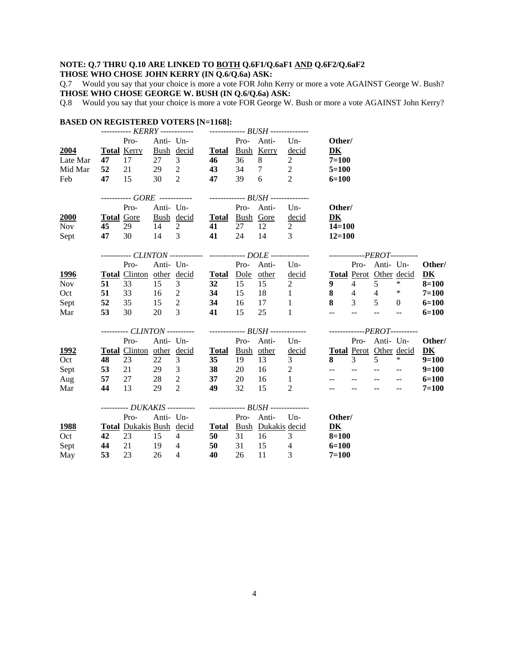# **NOTE: Q.7 THRU Q.10 ARE LINKED TO BOTH Q.6F1/Q.6aF1 AND Q.6F2/Q.6aF2**

# **THOSE WHO CHOSE JOHN KERRY (IN Q.6/Q.6a) ASK:**

Q.7 Would you say that your choice is more a vote FOR John Kerry or more a vote AGAINST George W. Bush? **THOSE WHO CHOSE GEORGE W. BUSH (IN Q.6/Q.6a) ASK:**

Q.8 Would you say that your choice is more a vote FOR George W. Bush or more a vote AGAINST John Kerry?

| <b>BASED ON REGISTERED VOTERS [N=1168]:</b> |       |                          |      |                                                                  |                 |       |               |                                                                                                                                  |                                                                                                                        |                           |                                |                                               |                                              |
|---------------------------------------------|-------|--------------------------|------|------------------------------------------------------------------|-----------------|-------|---------------|----------------------------------------------------------------------------------------------------------------------------------|------------------------------------------------------------------------------------------------------------------------|---------------------------|--------------------------------|-----------------------------------------------|----------------------------------------------|
|                                             |       |                          |      |                                                                  |                 |       |               |                                                                                                                                  |                                                                                                                        |                           |                                |                                               |                                              |
|                                             |       | Pro-                     |      | Anti- Un-<br>Pro- Anti-                                          |                 |       |               | $Un-$                                                                                                                            | Other/                                                                                                                 |                           |                                |                                               |                                              |
| 2004                                        |       | <b>Total Kerry</b><br>17 | 27   | Bush decid Total Bush Kerry<br>3 <sup>7</sup>                    | 46              | 36    | 8             | decid<br>$\overline{2}$                                                                                                          | DK<br>$7=100$                                                                                                          |                           |                                |                                               |                                              |
| Late Mar                                    | 47    |                          |      |                                                                  |                 |       |               |                                                                                                                                  |                                                                                                                        |                           |                                |                                               |                                              |
| Mid Mar                                     | 52    | 21                       |      | 29 2<br>$30 \t 2$                                                | $\frac{43}{47}$ |       | 34 7          | 2                                                                                                                                | $5 = 100$                                                                                                              |                           |                                |                                               |                                              |
| Feb                                         | 47    | 15                       |      |                                                                  |                 | 39    | 6             | 2                                                                                                                                | $6=100$                                                                                                                |                           |                                |                                               |                                              |
|                                             |       |                          |      | ----------- GORE ------------ -------------- BUSH -------------- |                 |       |               |                                                                                                                                  |                                                                                                                        |                           |                                |                                               |                                              |
|                                             |       | Pro-                     |      | Anti- Un-<br>Pro- Anti-                                          |                 |       |               | $Un-$                                                                                                                            | Other/                                                                                                                 |                           |                                |                                               |                                              |
| 2000                                        |       | <b>Total Gore</b>        |      | Bush decid Total Bush Gore                                       |                 |       |               | decid                                                                                                                            | DK                                                                                                                     |                           |                                |                                               |                                              |
| Nov                                         | 45    | 29                       |      | 14 2                                                             | 41              |       | 27 12         | $\overline{2}$                                                                                                                   | $14 = 100$                                                                                                             |                           |                                |                                               |                                              |
| Sept                                        | 47    | 30                       |      | 14 3                                                             | 41              | 24    | 14 3          |                                                                                                                                  | $12 = 100$                                                                                                             |                           |                                |                                               |                                              |
|                                             |       |                          |      |                                                                  |                 |       |               | ----------- CLINTON ------------- -------------- DOLE --------------- ----------------PEROT----------                            |                                                                                                                        |                           |                                |                                               |                                              |
|                                             |       | Pro-                     |      | Anti- Un-                                                        |                 |       | Pro- Anti-    | Un                                                                                                                               |                                                                                                                        |                           | Pro- Anti- Un-                 |                                               | Other/                                       |
| <u>1996</u>                                 |       |                          |      | Total Clinton other decid Total Dole other                       |                 |       |               |                                                                                                                                  |                                                                                                                        |                           |                                |                                               | $\overline{\mathbf{D}}\overline{\mathbf{K}}$ |
| <b>Nov</b>                                  | 51    | 33                       | 15   | 3                                                                | 32              | 15    | 15            | $\frac{\text{decid}}{2} \qquad \frac{\text{Total}}{9} \frac{\text{Perot}}{4} \frac{\text{Other}}{5} \frac{\text{decid}}{4}$<br>2 | 9                                                                                                                      |                           | $4 \quad 5$                    |                                               | $8 = 100$                                    |
| Oct                                         | 51    | 33                       |      | 16 2 34                                                          |                 | 15    | 18            | $\sim$ $\sim$ $\sim$ $\sim$                                                                                                      |                                                                                                                        |                           | 8 4 4 $*$                      |                                               | $7 = 100$                                    |
|                                             | 52    | 35                       |      | 15 2 34                                                          |                 | 16    |               | 1                                                                                                                                |                                                                                                                        |                           | 8 3 5 0                        |                                               |                                              |
| Sept<br>Mar                                 | 53    | 30                       | 20   | 3 <sup>1</sup>                                                   | 41              | 15    | 17<br>25      | $\mathbf{1}$                                                                                                                     | $\mathbb{L}^{\mathbb{L}}$                                                                                              | $\mathbb{L}^{\mathbb{L}}$ | $\mathbb{L}^{\mathbb{L}}$      | $\sim$                                        | $6=100$<br>$6 = 100$                         |
|                                             |       |                          |      |                                                                  |                 |       |               |                                                                                                                                  |                                                                                                                        |                           |                                |                                               |                                              |
|                                             |       |                          |      |                                                                  |                 |       |               | ---------- CLINTON ----------    --------------    BUSH -------------    ---------------PEROT----------                          |                                                                                                                        |                           |                                |                                               |                                              |
|                                             |       | Pro-                     |      | Anti- Un-                                                        |                 |       | Pro- Anti-    | Un                                                                                                                               |                                                                                                                        |                           | Pro- Anti- Un-                 |                                               | Other/                                       |
| <u>1992</u>                                 |       |                          |      | Total Clinton other decid Total Bush other                       |                 |       |               | decid                                                                                                                            |                                                                                                                        |                           | <b>Total Perot Other decid</b> |                                               | D <sub>K</sub>                               |
| Oct                                         | 48    | 23                       | 22   | $\mathfrak{Z}$                                                   | 35              | 19    | 13            | 3 <sup>7</sup>                                                                                                                   | 8 <sup>1</sup>                                                                                                         | $\overline{3}$            | $\overline{5}$                 | $*$                                           | $9=100$                                      |
| Sept                                        |       |                          |      | 53 21 29 3                                                       | 38              | 20    | $16 \qquad 2$ |                                                                                                                                  | $\frac{1}{2} \frac{1}{2} \left( \frac{1}{2} \right) \left( \frac{1}{2} \right) \frac{1}{2} \left( \frac{1}{2} \right)$ |                           |                                | $\mathord{\hspace{1pt}\text{--}\hspace{1pt}}$ | $9=100$                                      |
| Aug                                         | 57 27 |                          |      | 28 2                                                             | 37              | 20    | 16 1          |                                                                                                                                  | $\frac{1}{2}$ and $\frac{1}{2}$                                                                                        |                           |                                | $\mathcal{L} \mathcal{L}$                     | $6=100$                                      |
| Mar                                         | 44    | 13                       | 29 2 |                                                                  | 49              | 32    | 15            | 2                                                                                                                                | $-$                                                                                                                    |                           | $\sim$                         | $-$                                           | $7 = 100$                                    |
|                                             |       |                          |      | ---------- DUKAKIS ----------                                    |                 |       |               |                                                                                                                                  |                                                                                                                        |                           |                                |                                               |                                              |
|                                             |       | Pro-                     |      | Anti- Un-                                                        |                 |       | Pro- Anti-    | $Un-$                                                                                                                            | Other/                                                                                                                 |                           |                                |                                               |                                              |
| <b>1988</b>                                 |       |                          |      | Total Dukakis Bush decid Total Bush Dukakis decid                |                 |       |               |                                                                                                                                  | DK                                                                                                                     |                           |                                |                                               |                                              |
| Oct                                         | 42    | 23                       | 15 4 |                                                                  | 50              | 31 16 |               | 3 <sup>7</sup>                                                                                                                   | $8 = 100$                                                                                                              |                           |                                |                                               |                                              |
| Sept                                        | 44    | 21                       | 19 4 |                                                                  | 50              | 31    | 15            | $\overline{4}$                                                                                                                   | $6=100$                                                                                                                |                           |                                |                                               |                                              |
| May                                         | 53    | 23                       | 26   | $\overline{4}$                                                   | 40              | 26    | 11            | 3                                                                                                                                | $7 = 100$                                                                                                              |                           |                                |                                               |                                              |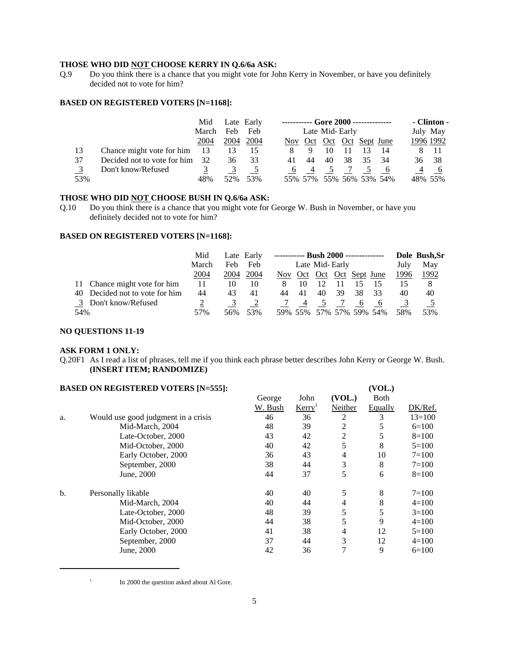#### **THOSE WHO DID NOT CHOOSE KERRY IN Q.6/6a ASK:**

Q.9 Do you think there is a chance that you might vote for John Kerry in November, or have you definitely decided not to vote for him?

#### **BASED ON REGISTERED VOTERS [N=1168]:**

|     |                             | Mid   |      | Late Early |    | ----------- Gore 2000 -------------- |    |    |    |     |                | - Clinton - |
|-----|-----------------------------|-------|------|------------|----|--------------------------------------|----|----|----|-----|----------------|-------------|
|     |                             | March | Feb  | Feb        |    | Late Mid-Early                       |    |    |    |     |                | July May    |
|     |                             | 2004  | 2004 | 2004       |    | Nov Oct Oct Oct Sept June            |    |    |    |     |                | 1996 1992   |
| 13  | Chance might vote for him   | - 13  | 13   | 15         |    | 9                                    | 10 |    |    | 14  |                | - 11        |
| 37  | Decided not to vote for him | 32    | 36   | 33         | 41 | 44                                   | 40 | 38 | 35 | -34 | 36             | - 38        |
|     | Don't know/Refused          |       |      |            |    |                                      |    |    |    |     | $\overline{4}$ |             |
| 53% |                             | 48%   | 52%  | 53%        |    | 55% 57% 55% 56% 53% 54%              |    |    |    |     |                | 48% 55%     |

#### **THOSE WHO DID NOT CHOOSE BUSH IN Q.6/6a ASK:**

Q.10 Do you think there is a chance that you might vote for George W. Bush in November, or have you definitely decided not to vote for him?

#### **BASED ON REGISTERED VOTERS [N=1168]:**

|     |                                | Mid   |      | Late Early | ----------- Bush 2000 -------------- |    |                       |    |              |                         |      | Dole Bush, Sr |
|-----|--------------------------------|-------|------|------------|--------------------------------------|----|-----------------------|----|--------------|-------------------------|------|---------------|
|     |                                | March | Feb  | Feb        | Late Mid-Early                       |    |                       |    |              | July                    | May  |               |
|     |                                | 2004  | 2004 | 2004       | Nov.                                 |    | Oct Oct Oct Sept June |    |              |                         | 1996 | 1992          |
|     | 11 Chance might vote for him   | 11    | 10   | 10         | 8                                    | 10 |                       |    |              | 15                      |      | 8             |
|     | 40 Decided not to vote for him | 44    | 43   | 41         | 44                                   | 41 | 40                    | 39 | 38           | 33                      | 40   | 40            |
|     | 3 Don't know/Refused           |       |      |            |                                      |    |                       |    | <sub>0</sub> |                         |      |               |
| 54% |                                | 57%   | 56%  | 53%        |                                      |    |                       |    |              | 59% 55% 57% 57% 59% 54% | 58%  | 53%           |

#### **NO QUESTIONS 11-19**

#### **ASK FORM 1 ONLY:**

Q.20F1 As I read a list of phrases, tell me if you think each phrase better describes John Kerry or George W. Bush. **(INSERT ITEM; RANDOMIZE)**

# **BASED ON REGISTERED VOTERS [N=555]: (VOL.)** George John **(VOL.)** Both W. Bush Kerry<sup>1</sup> Neither Equally DK/Ref. a. Would use good judgment in a crisis  $\begin{array}{cccc} 46 & 36 & 2 & 3 & 13=100 \end{array}$ Mid-March, 2004 48 39 2 5 6=100<br>
Late-October, 2000 43 42 2 5 8=100 Late-October, 2000 43 42 2 5 8=100 Mid-October, 2000 40 42 5 8 5=100 Early October, 2000 36 43 4 10 7=100 September, 2000 38 44 3 8 7=100 June, 2000 44 37 5 6 8=100 b. Personally likable  $40 \t 40 \t 5 \t 8 \t 7=100$ Mid-March, 2004 40 44 4 8 4=100 Late-October, 2000 48 39 5 5 3=100 Mid-October, 2000 44 38 5 9 4=100 Early October, 2000 41 38 4 12 5=100 September, 2000 37 44 3 12 4=100 June, 2000  $\begin{array}{cccc} 42 & 36 & 7 & 9 & 6=100 \end{array}$

 $1 \quad$  In 2000 the question asked about Al Gore.

<sup>5</sup>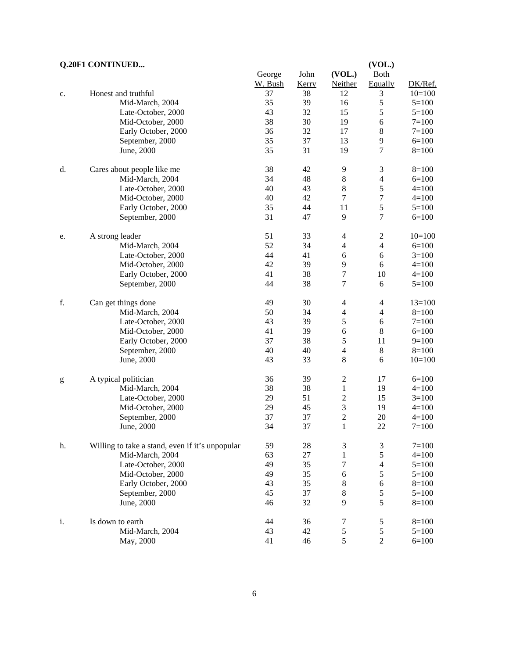# **Q.20F1 CONTINUED... (VOL.)**

|                                                                                                                                                                                                                                                                                                                                                                                                                                |                                                 | George  | John  | (VOL.)                   | <b>Both</b>      |           |
|--------------------------------------------------------------------------------------------------------------------------------------------------------------------------------------------------------------------------------------------------------------------------------------------------------------------------------------------------------------------------------------------------------------------------------|-------------------------------------------------|---------|-------|--------------------------|------------------|-----------|
|                                                                                                                                                                                                                                                                                                                                                                                                                                |                                                 | W. Bush | Kerry | Neither                  | Equally          | DK/Ref.   |
| c.                                                                                                                                                                                                                                                                                                                                                                                                                             | Honest and truthful                             | 37      | 38    | 12                       | 3                | $10=100$  |
|                                                                                                                                                                                                                                                                                                                                                                                                                                | Mid-March, 2004                                 | 35      | 39    | 16                       | 5                | $5=100$   |
|                                                                                                                                                                                                                                                                                                                                                                                                                                | Late-October, 2000                              | 43      | 32    | 15                       | 5                | $5=100$   |
|                                                                                                                                                                                                                                                                                                                                                                                                                                | Mid-October, 2000                               | 38      | 30    | 19                       | $\sqrt{6}$       | $7 = 100$ |
|                                                                                                                                                                                                                                                                                                                                                                                                                                | Early October, 2000                             | 36      | 32    | 17                       | $\,8\,$          | $7 = 100$ |
|                                                                                                                                                                                                                                                                                                                                                                                                                                | September, 2000                                 | 35      | 37    | 13                       | 9                | $6=100$   |
|                                                                                                                                                                                                                                                                                                                                                                                                                                | June, 2000                                      | 35      | 31    | 19                       | $\tau$           | $8=100$   |
| d.                                                                                                                                                                                                                                                                                                                                                                                                                             | Cares about people like me                      | 38      | 42    | 9                        | $\mathfrak{Z}$   | $8=100$   |
|                                                                                                                                                                                                                                                                                                                                                                                                                                | Mid-March, 2004                                 | 34      | 48    | $\,$ 8 $\,$              | $\overline{4}$   | $6=100$   |
|                                                                                                                                                                                                                                                                                                                                                                                                                                | Late-October, 2000                              | $40\,$  | 43    | $\,$ 8 $\,$              | $\mathfrak s$    | $4=100$   |
|                                                                                                                                                                                                                                                                                                                                                                                                                                | Mid-October, 2000                               | 40      | 42    | $\boldsymbol{7}$         | $\boldsymbol{7}$ | $4 = 100$ |
|                                                                                                                                                                                                                                                                                                                                                                                                                                | Early October, 2000                             | 35      | 44    | 11                       | 5                | $5 = 100$ |
|                                                                                                                                                                                                                                                                                                                                                                                                                                | September, 2000                                 | 31      | 47    | 9                        | $\boldsymbol{7}$ | $6=100$   |
| e.                                                                                                                                                                                                                                                                                                                                                                                                                             | A strong leader                                 | 51      | 33    | $\overline{\mathcal{A}}$ | $\sqrt{2}$       | $10=100$  |
|                                                                                                                                                                                                                                                                                                                                                                                                                                | Mid-March, 2004                                 | 52      | 34    | $\overline{\mathcal{A}}$ | $\overline{4}$   | $6=100$   |
|                                                                                                                                                                                                                                                                                                                                                                                                                                | Late-October, 2000                              | 44      | 41    | 6                        | $6\,$            | $3=100$   |
|                                                                                                                                                                                                                                                                                                                                                                                                                                | Mid-October, 2000                               | 42      | 39    | 9                        | $6\,$            | $4 = 100$ |
|                                                                                                                                                                                                                                                                                                                                                                                                                                | Early October, 2000                             | 41      | 38    | $\boldsymbol{7}$         | 10               | $4=100$   |
|                                                                                                                                                                                                                                                                                                                                                                                                                                | September, 2000                                 | 44      | 38    | $\boldsymbol{7}$         | $\sqrt{6}$       | $5 = 100$ |
| f.                                                                                                                                                                                                                                                                                                                                                                                                                             | Can get things done                             | 49      | 30    | $\overline{\mathcal{A}}$ | $\overline{4}$   | $13=100$  |
|                                                                                                                                                                                                                                                                                                                                                                                                                                | Mid-March, 2004                                 | 50      | 34    | $\overline{\mathcal{A}}$ | $\overline{4}$   | $8=100$   |
|                                                                                                                                                                                                                                                                                                                                                                                                                                | Late-October, 2000                              | 43      | 39    | 5                        | $\sqrt{6}$       | $7 = 100$ |
|                                                                                                                                                                                                                                                                                                                                                                                                                                | Mid-October, 2000                               | 41      | 39    | $\epsilon$               | $\,8\,$          | $6 = 100$ |
|                                                                                                                                                                                                                                                                                                                                                                                                                                | Early October, 2000                             | 37      | 38    | 5                        | 11               | $9=100$   |
|                                                                                                                                                                                                                                                                                                                                                                                                                                | September, 2000                                 | 40      | 40    | $\overline{4}$           | $8\,$            | $8=100$   |
|                                                                                                                                                                                                                                                                                                                                                                                                                                | June, 2000                                      | 43      | 33    | $8\,$                    | $6\,$            | $10=100$  |
| $\mathbf{g}% _{T}=\mathbf{g}_{T}=\mathbf{g}_{T}=\mathbf{g}_{T}=\mathbf{g}_{T}=\mathbf{g}_{T}=\mathbf{g}_{T}=\mathbf{g}_{T}=\mathbf{g}_{T}=\mathbf{g}_{T}=\mathbf{g}_{T}=\mathbf{g}_{T}=\mathbf{g}_{T}=\mathbf{g}_{T}=\mathbf{g}_{T}=\mathbf{g}_{T}=\mathbf{g}_{T}=\mathbf{g}_{T}=\mathbf{g}_{T}=\mathbf{g}_{T}=\mathbf{g}_{T}=\mathbf{g}_{T}=\mathbf{g}_{T}=\mathbf{g}_{T}=\mathbf{g}_{T}=\mathbf{g}_{T}=\mathbf{g}_{T}=\math$ | A typical politician                            | 36      | 39    | $\sqrt{2}$               | 17               | $6=100$   |
|                                                                                                                                                                                                                                                                                                                                                                                                                                | Mid-March, 2004                                 | 38      | 38    | $\mathbf{1}$             | 19               | $4 = 100$ |
|                                                                                                                                                                                                                                                                                                                                                                                                                                | Late-October, 2000                              | 29      | 51    | $\boldsymbol{2}$         | 15               | $3=100$   |
|                                                                                                                                                                                                                                                                                                                                                                                                                                | Mid-October, 2000                               | 29      | 45    | $\overline{\mathbf{3}}$  | 19               | $4 = 100$ |
|                                                                                                                                                                                                                                                                                                                                                                                                                                | September, 2000                                 | 37      | 37    | $\overline{c}$           | $20\,$           | $4 = 100$ |
|                                                                                                                                                                                                                                                                                                                                                                                                                                | June, 2000                                      | 34      | 37    | $\mathbf{1}$             | 22               | $7 = 100$ |
| h.                                                                                                                                                                                                                                                                                                                                                                                                                             | Willing to take a stand, even if it's unpopular | 59      | 28    | 3                        | $\mathfrak{Z}$   | $7 = 100$ |
|                                                                                                                                                                                                                                                                                                                                                                                                                                | Mid-March, 2004                                 | 63      | 27    | $\mathbf{1}$             | 5                | $4 = 100$ |
|                                                                                                                                                                                                                                                                                                                                                                                                                                | Late-October, 2000                              | 49      | 35    | 7                        | $\overline{4}$   | $5 = 100$ |
|                                                                                                                                                                                                                                                                                                                                                                                                                                | Mid-October, 2000                               | 49      | 35    | 6                        | 5                | $5 = 100$ |
|                                                                                                                                                                                                                                                                                                                                                                                                                                | Early October, 2000                             | 43      | 35    | $\,$ 8 $\,$              | 6                | $8=100$   |
|                                                                                                                                                                                                                                                                                                                                                                                                                                | September, 2000                                 | 45      | 37    | $\,8\,$                  | 5                | $5 = 100$ |
|                                                                                                                                                                                                                                                                                                                                                                                                                                | June, 2000                                      | 46      | 32    | 9                        | 5                | $8=100$   |
| i.                                                                                                                                                                                                                                                                                                                                                                                                                             | Is down to earth                                | 44      | 36    | 7                        | 5                | $8 = 100$ |
|                                                                                                                                                                                                                                                                                                                                                                                                                                | Mid-March, 2004                                 | 43      | 42    | $\mathfrak s$            | $\mathfrak s$    | $5 = 100$ |
|                                                                                                                                                                                                                                                                                                                                                                                                                                | May, 2000                                       | 41      | 46    | 5                        | $\overline{c}$   | $6 = 100$ |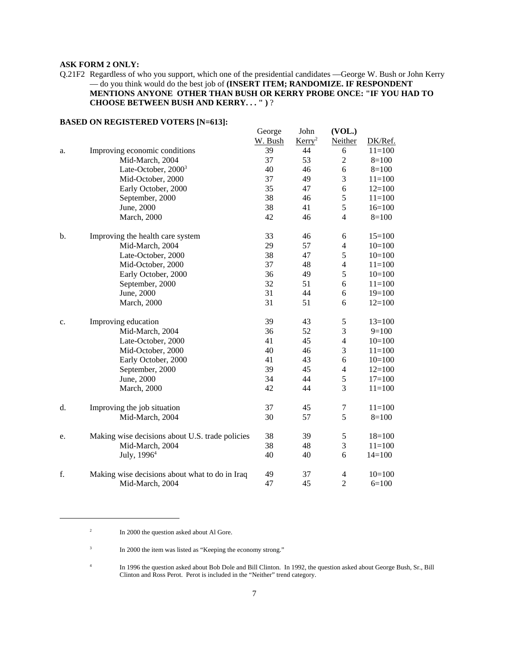### **ASK FORM 2 ONLY:**

Q.21F2 Regardless of who you support, which one of the presidential candidates —George W. Bush or John Kerry — do you think would do the best job of **(INSERT ITEM; RANDOMIZE. IF RESPONDENT MENTIONS ANYONE OTHER THAN BUSH OR KERRY PROBE ONCE: "IF YOU HAD TO CHOOSE BETWEEN BUSH AND KERRY. . . " )** ?

|    |                                                 | George  | John               | (VOL.)         |            |
|----|-------------------------------------------------|---------|--------------------|----------------|------------|
|    |                                                 | W. Bush | Kerry <sup>2</sup> | Neither        | DK/Ref.    |
| a. | Improving economic conditions                   | 39      | 44                 | 6              | $11=100$   |
|    | Mid-March, 2004                                 | 37      | 53                 | $\overline{2}$ | $8=100$    |
|    | Late-October, $2000^3$                          | 40      | 46                 | 6              | $8=100$    |
|    | Mid-October, 2000                               | 37      | 49                 | 3              | $11 = 100$ |
|    | Early October, 2000                             | 35      | 47                 | 6              | $12=100$   |
|    | September, 2000                                 | 38      | 46                 | 5              | $11 = 100$ |
|    | June, 2000                                      | 38      | 41                 | 5              | $16=100$   |
|    | <b>March</b> , 2000                             | 42      | 46                 | $\overline{4}$ | $8=100$    |
| b. | Improving the health care system                | 33      | 46                 | 6              | $15=100$   |
|    | Mid-March, 2004                                 | 29      | 57                 | $\overline{4}$ | $10=100$   |
|    | Late-October, 2000                              | 38      | 47                 | 5              | $10=100$   |
|    | Mid-October, 2000                               | 37      | 48                 | $\overline{4}$ | $11 = 100$ |
|    | Early October, 2000                             | 36      | 49                 | 5              | $10=100$   |
|    | September, 2000                                 | 32      | 51                 | 6              | $11=100$   |
|    | June, 2000                                      | 31      | 44                 | 6              | $19=100$   |
|    | <b>March</b> , 2000                             | 31      | 51                 | 6              | $12=100$   |
| c. | Improving education                             | 39      | 43                 | $\mathfrak s$  | $13=100$   |
|    | Mid-March, 2004                                 | 36      | 52                 | 3              | $9=100$    |
|    | Late-October, 2000                              | 41      | 45                 | $\overline{4}$ | $10=100$   |
|    | Mid-October, 2000                               | 40      | 46                 | 3              | $11 = 100$ |
|    | Early October, 2000                             | 41      | 43                 | 6              | $10=100$   |
|    | September, 2000                                 | 39      | 45                 | $\overline{4}$ | $12=100$   |
|    | June, 2000                                      | 34      | 44                 | 5              | $17=100$   |
|    | March, 2000                                     | 42      | 44                 | 3              | $11 = 100$ |
| d. | Improving the job situation                     | 37      | 45                 | 7              | $11=100$   |
|    | Mid-March, 2004                                 | 30      | 57                 | 5              | $8=100$    |
| e. | Making wise decisions about U.S. trade policies | 38      | 39                 | $\mathfrak s$  | $18=100$   |
|    | Mid-March, 2004                                 | 38      | 48                 | 3              | $11 = 100$ |
|    | July, $19964$                                   | 40      | 40                 | 6              | $14=100$   |
| f. | Making wise decisions about what to do in Iraq  | 49      | 37                 | $\overline{4}$ | $10=100$   |
|    | Mid-March, 2004                                 | 47      | 45                 | $\overline{2}$ | $6=100$    |

#### **BASED ON REGISTERED VOTERS [N=613]:**

<sup>&</sup>lt;sup>2</sup> In 2000 the question asked about Al Gore.

<sup>&</sup>lt;sup>3</sup> In 2000 the item was listed as "Keeping the economy strong."

<sup>&</sup>lt;sup>4</sup> In 1996 the question asked about Bob Dole and Bill Clinton. In 1992, the question asked about George Bush, Sr., Bill Clinton and Ross Perot. Perot is included in the "Neither" trend category.